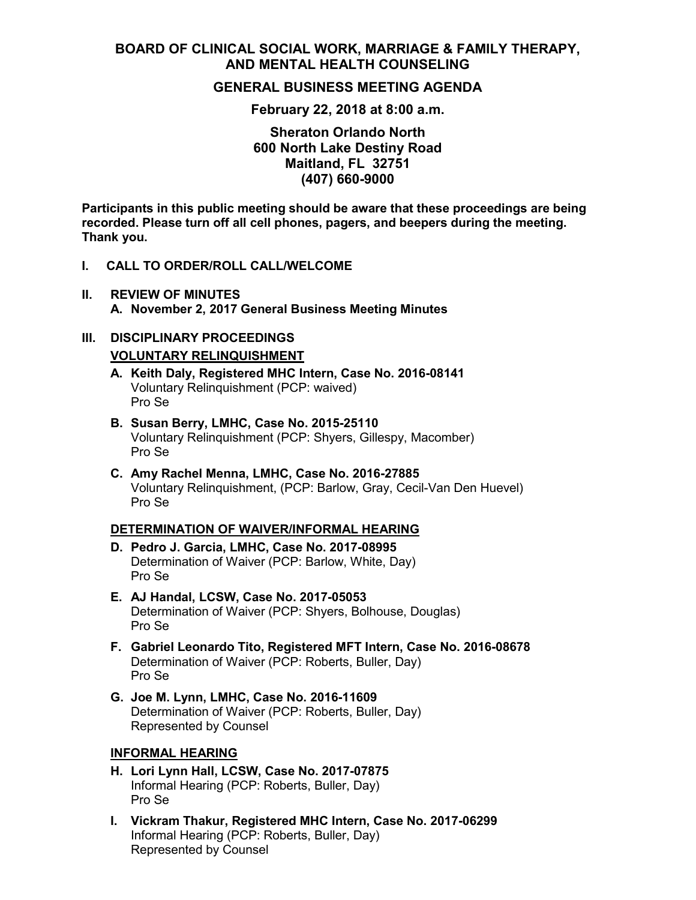# **BOARD OF CLINICAL SOCIAL WORK, MARRIAGE & FAMILY THERAPY, AND MENTAL HEALTH COUNSELING**

## **GENERAL BUSINESS MEETING AGENDA**

### **February 22, 2018 at 8:00 a.m.**

**Sheraton Orlando North 600 North Lake Destiny Road Maitland, FL 32751 (407) 660-9000**

**Participants in this public meeting should be aware that these proceedings are being recorded. Please turn off all cell phones, pagers, and beepers during the meeting. Thank you.**

#### **I. CALL TO ORDER/ROLL CALL/WELCOME**

**II. REVIEW OF MINUTES A. November 2, 2017 General Business Meeting Minutes**

## **III. DISCIPLINARY PROCEEDINGS VOLUNTARY RELINQUISHMENT**

- **A. Keith Daly, Registered MHC Intern, Case No. 2016-08141** Voluntary Relinquishment (PCP: waived) Pro Se
- **B. Susan Berry, LMHC, Case No. 2015-25110** Voluntary Relinquishment (PCP: Shyers, Gillespy, Macomber) Pro Se
- **C. Amy Rachel Menna, LMHC, Case No. 2016-27885** Voluntary Relinquishment, (PCP: Barlow, Gray, Cecil-Van Den Huevel) Pro Se

#### **DETERMINATION OF WAIVER/INFORMAL HEARING**

- **D. Pedro J. Garcia, LMHC, Case No. 2017-08995** Determination of Waiver (PCP: Barlow, White, Day) Pro Se
- **E. AJ Handal, LCSW, Case No. 2017-05053** Determination of Waiver (PCP: Shyers, Bolhouse, Douglas) Pro Se
- **F. Gabriel Leonardo Tito, Registered MFT Intern, Case No. 2016-08678** Determination of Waiver (PCP: Roberts, Buller, Day) Pro Se
- **G. Joe M. Lynn, LMHC, Case No. 2016-11609** Determination of Waiver (PCP: Roberts, Buller, Day) Represented by Counsel

#### **INFORMAL HEARING**

- **H. Lori Lynn Hall, LCSW, Case No. 2017-07875** Informal Hearing (PCP: Roberts, Buller, Day) Pro Se
- **I. Vickram Thakur, Registered MHC Intern, Case No. 2017-06299** Informal Hearing (PCP: Roberts, Buller, Day) Represented by Counsel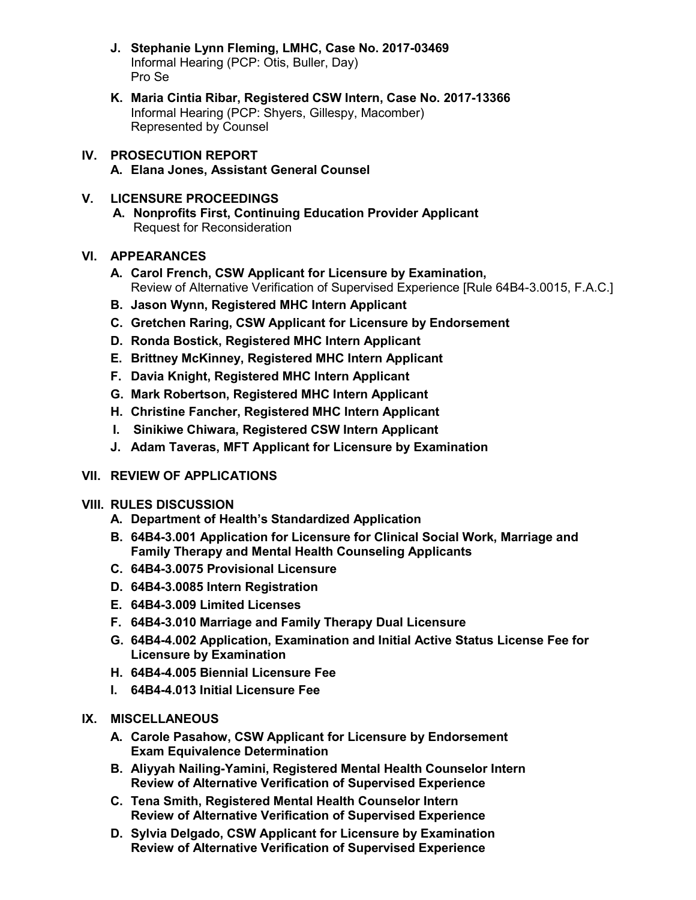- **J. Stephanie Lynn Fleming, LMHC, Case No. 2017-03469** Informal Hearing (PCP: Otis, Buller, Day) Pro Se
- **K. Maria Cintia Ribar, Registered CSW Intern, Case No. 2017-13366** Informal Hearing (PCP: Shyers, Gillespy, Macomber) Represented by Counsel
- **IV. PROSECUTION REPORT A. Elana Jones, Assistant General Counsel**

## **V. LICENSURE PROCEEDINGS**

**A. Nonprofits First, Continuing Education Provider Applicant** Request for Reconsideration

# **VI. APPEARANCES**

- **A. Carol French, CSW Applicant for Licensure by Examination,** Review of Alternative Verification of Supervised Experience [Rule 64B4-3.0015, F.A.C.]
- **B. Jason Wynn, Registered MHC Intern Applicant**
- **C. Gretchen Raring, CSW Applicant for Licensure by Endorsement**
- **D. Ronda Bostick, Registered MHC Intern Applicant**
- **E. Brittney McKinney, Registered MHC Intern Applicant**
- **F. Davia Knight, Registered MHC Intern Applicant**
- **G. Mark Robertson, Registered MHC Intern Applicant**
- **H. Christine Fancher, Registered MHC Intern Applicant**
- **I. Sinikiwe Chiwara, Registered CSW Intern Applicant**
- **J. Adam Taveras, MFT Applicant for Licensure by Examination**

## **VII. REVIEW OF APPLICATIONS**

## **VIII. RULES DISCUSSION**

- **A. Department of Health's Standardized Application**
- **B. 64B4-3.001 Application for Licensure for Clinical Social Work, Marriage and Family Therapy and Mental Health Counseling Applicants**
- **C. 64B4-3.0075 Provisional Licensure**
- **D. 64B4-3.0085 Intern Registration**
- **E. 64B4-3.009 Limited Licenses**
- **F. 64B4-3.010 Marriage and Family Therapy Dual Licensure**
- **G. 64B4-4.002 Application, Examination and Initial Active Status License Fee for Licensure by Examination**
- **H. 64B4-4.005 Biennial Licensure Fee**
- **I. 64B4-4.013 Initial Licensure Fee**

# **IX. MISCELLANEOUS**

- **A. Carole Pasahow, CSW Applicant for Licensure by Endorsement Exam Equivalence Determination**
- **B. Aliyyah Nailing-Yamini, Registered Mental Health Counselor Intern Review of Alternative Verification of Supervised Experience**
- **C. Tena Smith, Registered Mental Health Counselor Intern Review of Alternative Verification of Supervised Experience**
- **D. Sylvia Delgado, CSW Applicant for Licensure by Examination Review of Alternative Verification of Supervised Experience**